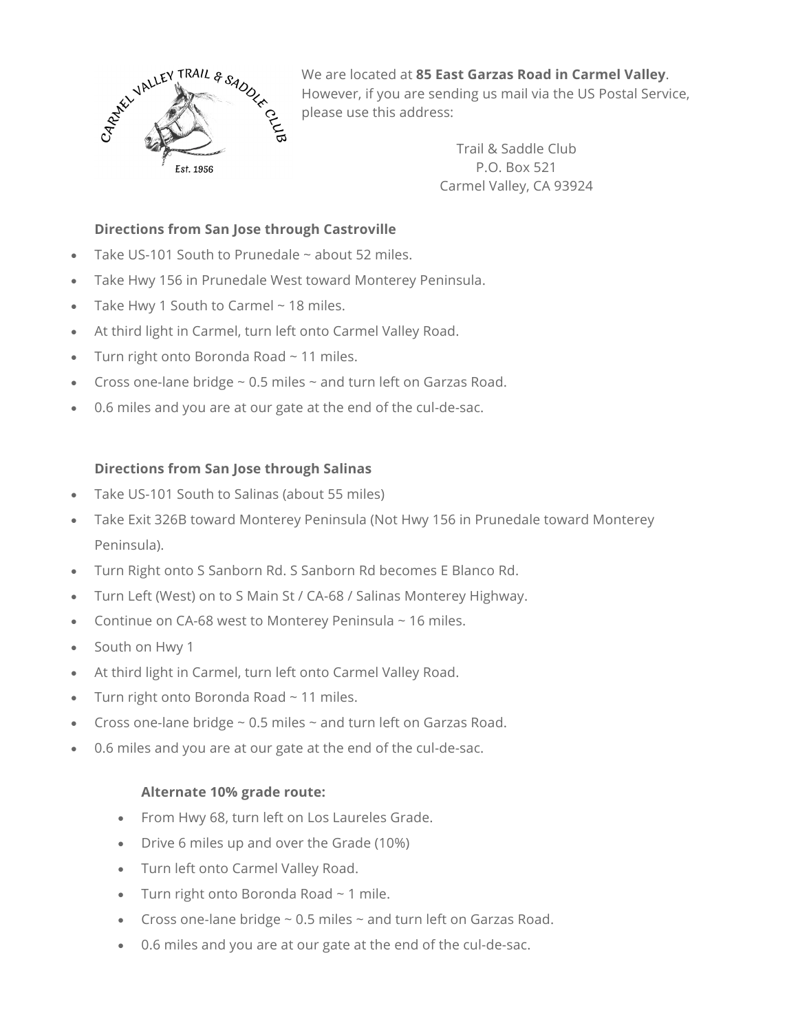

We are located at **85 East Garzas Road in Carmel Valley**. However, if you are sending us mail via the US Postal Service, please use this address:

> Trail & Saddle Club P.O. Box 521 Carmel Valley, CA 93924

# **Directions from San Jose through Castroville**

- Take US-101 South to Prunedale  $\sim$  about 52 miles.
- Take Hwy 156 in Prunedale West toward Monterey Peninsula.
- Take Hwy 1 South to Carmel ~ 18 miles.
- At third light in Carmel, turn left onto Carmel Valley Road.
- Turn right onto Boronda Road ~ 11 miles.
- Cross one-lane bridge  $\sim$  0.5 miles  $\sim$  and turn left on Garzas Road.
- 0.6 miles and you are at our gate at the end of the cul-de-sac.

# **Directions from San Jose through Salinas**

- Take US-101 South to Salinas (about 55 miles)
- Take Exit 326B toward Monterey Peninsula (Not Hwy 156 in Prunedale toward Monterey Peninsula).
- Turn Right onto S Sanborn Rd. S Sanborn Rd becomes E Blanco Rd.
- Turn Left (West) on to S Main St / CA-68 / Salinas Monterey Highway.
- Continue on CA-68 west to Monterey Peninsula  $\sim$  16 miles.
- South on Hwy 1
- At third light in Carmel, turn left onto Carmel Valley Road.
- Turn right onto Boronda Road ~ 11 miles.
- Cross one-lane bridge  $\sim$  0.5 miles  $\sim$  and turn left on Garzas Road.
- 0.6 miles and you are at our gate at the end of the cul-de-sac.

### **Alternate 10% grade route:**

- From Hwy 68, turn left on Los Laureles Grade.
- Drive 6 miles up and over the Grade (10%)
- Turn left onto Carmel Valley Road.
- Turn right onto Boronda Road  $\sim$  1 mile.
- Cross one-lane bridge  $\sim$  0.5 miles  $\sim$  and turn left on Garzas Road.
- 0.6 miles and you are at our gate at the end of the cul-de-sac.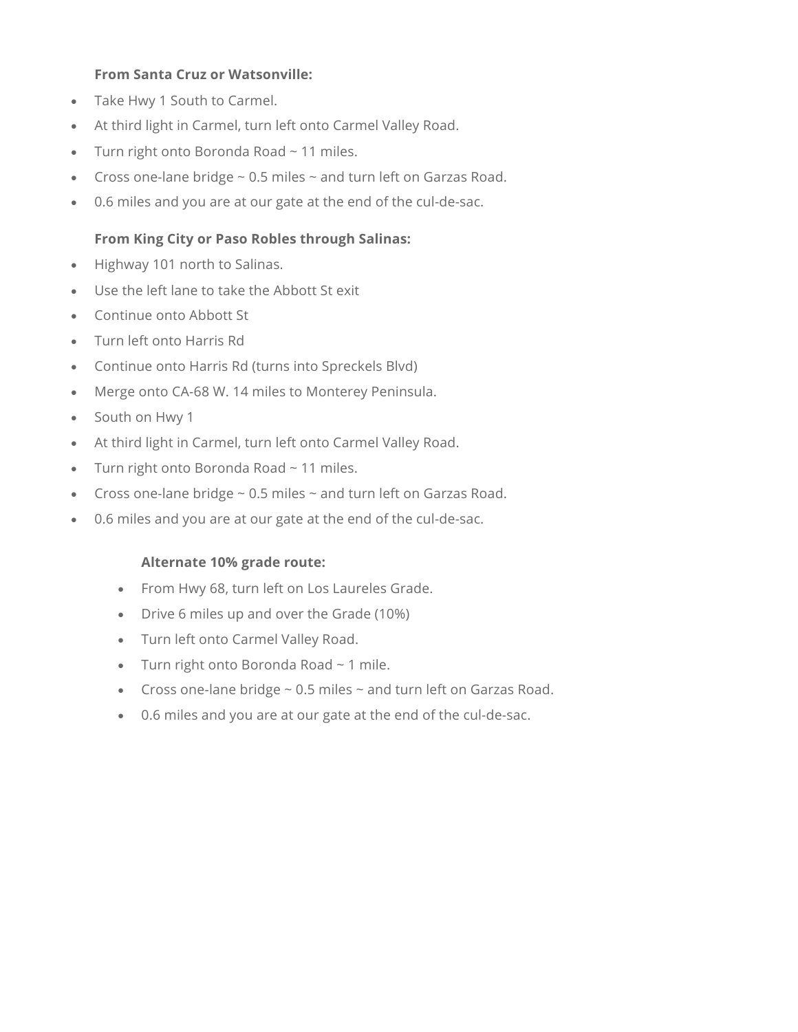#### **From Santa Cruz or Watsonville:**

- Take Hwy 1 South to Carmel.
- At third light in Carmel, turn left onto Carmel Valley Road.
- Turn right onto Boronda Road ~ 11 miles.
- Cross one-lane bridge  $\sim$  0.5 miles  $\sim$  and turn left on Garzas Road.
- 0.6 miles and you are at our gate at the end of the cul-de-sac.

# **From King City or Paso Robles through Salinas:**

- Highway 101 north to Salinas.
- Use the left lane to take the Abbott St exit
- Continue onto Abbott St
- Turn left onto Harris Rd
- Continue onto Harris Rd (turns into Spreckels Blvd)
- Merge onto CA-68 W. 14 miles to Monterey Peninsula.
- South on Hwy 1
- At third light in Carmel, turn left onto Carmel Valley Road.
- Turn right onto Boronda Road ~ 11 miles.
- Cross one-lane bridge  $\sim$  0.5 miles  $\sim$  and turn left on Garzas Road.
- 0.6 miles and you are at our gate at the end of the cul-de-sac.

### **Alternate 10% grade route:**

- From Hwy 68, turn left on Los Laureles Grade.
- Drive 6 miles up and over the Grade (10%)
- Turn left onto Carmel Valley Road.
- Turn right onto Boronda Road ~ 1 mile.
- Cross one-lane bridge  $\sim$  0.5 miles  $\sim$  and turn left on Garzas Road.
- 0.6 miles and you are at our gate at the end of the cul-de-sac.